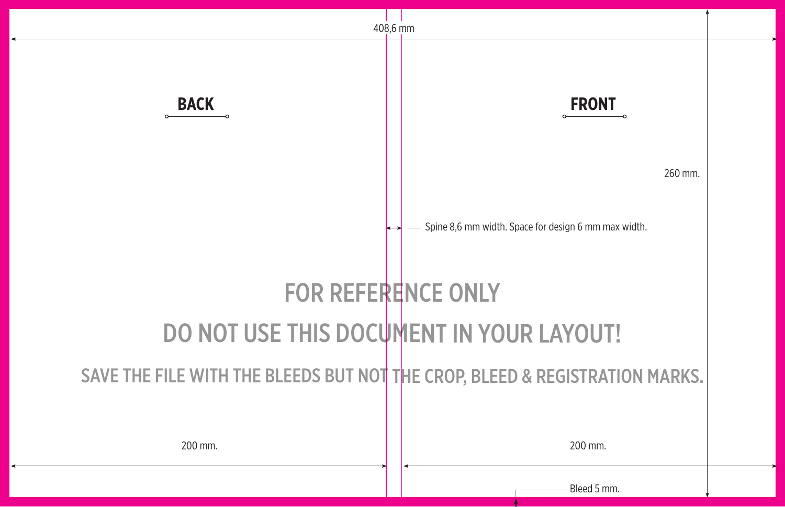